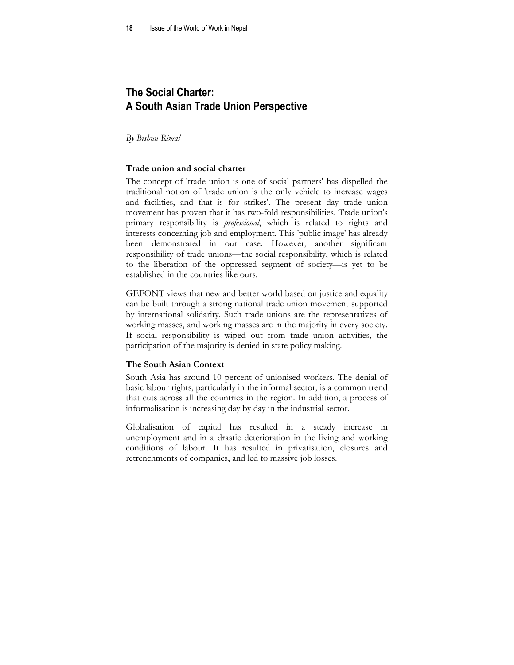# **The Social Charter: A South Asian Trade Union Perspective**

*By Bishnu Rimal* 

### **Trade union and social charter**

The concept of 'trade union is one of social partners' has dispelled the traditional notion of 'trade union is the only vehicle to increase wages and facilities, and that is for strikes'. The present day trade union movement has proven that it has two-fold responsibilities. Trade union's primary responsibility is *professional*, which is related to rights and interests concerning job and employment. This 'public image' has already been demonstrated in our case. However, another significant responsibility of trade unions—the social responsibility, which is related to the liberation of the oppressed segment of society—is yet to be established in the countries like ours.

GEFONT views that new and better world based on justice and equality can be built through a strong national trade union movement supported by international solidarity. Such trade unions are the representatives of working masses, and working masses are in the majority in every society. If social responsibility is wiped out from trade union activities, the participation of the majority is denied in state policy making.

#### **The South Asian Context**

South Asia has around 10 percent of unionised workers. The denial of basic labour rights, particularly in the informal sector, is a common trend that cuts across all the countries in the region. In addition, a process of informalisation is increasing day by day in the industrial sector.

Globalisation of capital has resulted in a steady increase in unemployment and in a drastic deterioration in the living and working conditions of labour. It has resulted in privatisation, closures and retrenchments of companies, and led to massive job losses.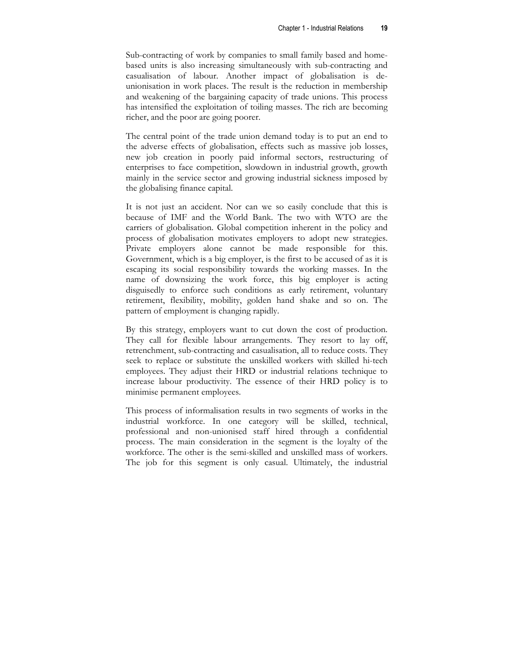Sub-contracting of work by companies to small family based and homebased units is also increasing simultaneously with sub-contracting and casualisation of labour. Another impact of globalisation is deunionisation in work places. The result is the reduction in membership and weakening of the bargaining capacity of trade unions. This process has intensified the exploitation of toiling masses. The rich are becoming richer, and the poor are going poorer.

The central point of the trade union demand today is to put an end to the adverse effects of globalisation, effects such as massive job losses, new job creation in poorly paid informal sectors, restructuring of enterprises to face competition, slowdown in industrial growth, growth mainly in the service sector and growing industrial sickness imposed by the globalising finance capital.

It is not just an accident. Nor can we so easily conclude that this is because of IMF and the World Bank. The two with WTO are the carriers of globalisation. Global competition inherent in the policy and process of globalisation motivates employers to adopt new strategies. Private employers alone cannot be made responsible for this. Government, which is a big employer, is the first to be accused of as it is escaping its social responsibility towards the working masses. In the name of downsizing the work force, this big employer is acting disguisedly to enforce such conditions as early retirement, voluntary retirement, flexibility, mobility, golden hand shake and so on. The pattern of employment is changing rapidly.

By this strategy, employers want to cut down the cost of production. They call for flexible labour arrangements. They resort to lay off, retrenchment, sub-contracting and casualisation, all to reduce costs. They seek to replace or substitute the unskilled workers with skilled hi-tech employees. They adjust their HRD or industrial relations technique to increase labour productivity. The essence of their HRD policy is to minimise permanent employees.

This process of informalisation results in two segments of works in the industrial workforce. In one category will be skilled, technical, professional and non-unionised staff hired through a confidential process. The main consideration in the segment is the loyalty of the workforce. The other is the semi-skilled and unskilled mass of workers. The job for this segment is only casual. Ultimately, the industrial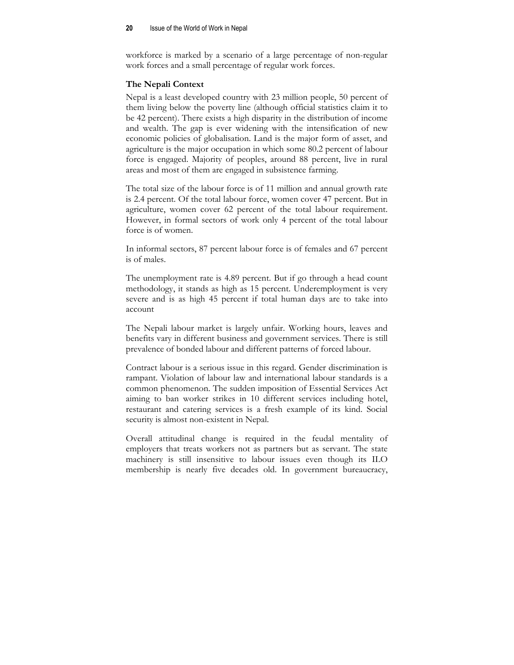workforce is marked by a scenario of a large percentage of non-regular work forces and a small percentage of regular work forces.

# **The Nepali Context**

Nepal is a least developed country with 23 million people, 50 percent of them living below the poverty line (although official statistics claim it to be 42 percent). There exists a high disparity in the distribution of income and wealth. The gap is ever widening with the intensification of new economic policies of globalisation. Land is the major form of asset, and agriculture is the major occupation in which some 80.2 percent of labour force is engaged. Majority of peoples, around 88 percent, live in rural areas and most of them are engaged in subsistence farming.

The total size of the labour force is of 11 million and annual growth rate is 2.4 percent. Of the total labour force, women cover 47 percent. But in agriculture, women cover 62 percent of the total labour requirement. However, in formal sectors of work only 4 percent of the total labour force is of women.

In informal sectors, 87 percent labour force is of females and 67 percent is of males.

The unemployment rate is 4.89 percent. But if go through a head count methodology, it stands as high as 15 percent. Underemployment is very severe and is as high 45 percent if total human days are to take into account

The Nepali labour market is largely unfair. Working hours, leaves and benefits vary in different business and government services. There is still prevalence of bonded labour and different patterns of forced labour.

Contract labour is a serious issue in this regard. Gender discrimination is rampant. Violation of labour law and international labour standards is a common phenomenon. The sudden imposition of Essential Services Act aiming to ban worker strikes in 10 different services including hotel, restaurant and catering services is a fresh example of its kind. Social security is almost non-existent in Nepal.

Overall attitudinal change is required in the feudal mentality of employers that treats workers not as partners but as servant. The state machinery is still insensitive to labour issues even though its ILO membership is nearly five decades old. In government bureaucracy,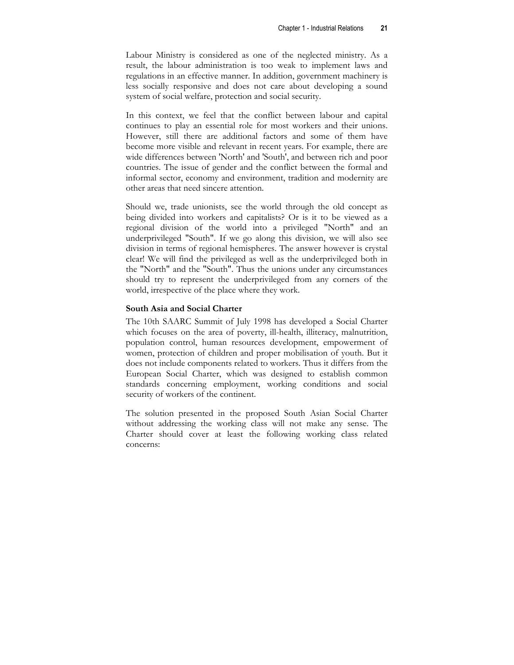Labour Ministry is considered as one of the neglected ministry. As a result, the labour administration is too weak to implement laws and regulations in an effective manner. In addition, government machinery is less socially responsive and does not care about developing a sound system of social welfare, protection and social security.

In this context, we feel that the conflict between labour and capital continues to play an essential role for most workers and their unions. However, still there are additional factors and some of them have become more visible and relevant in recent years. For example, there are wide differences between 'North' and 'South', and between rich and poor countries. The issue of gender and the conflict between the formal and informal sector, economy and environment, tradition and modernity are other areas that need sincere attention.

Should we, trade unionists, see the world through the old concept as being divided into workers and capitalists? Or is it to be viewed as a regional division of the world into a privileged "North" and an underprivileged "South". If we go along this division, we will also see division in terms of regional hemispheres. The answer however is crystal clear! We will find the privileged as well as the underprivileged both in the "North" and the "South". Thus the unions under any circumstances should try to represent the underprivileged from any corners of the world, irrespective of the place where they work.

## **South Asia and Social Charter**

The 10th SAARC Summit of July 1998 has developed a Social Charter which focuses on the area of poverty, ill-health, illiteracy, malnutrition, population control, human resources development, empowerment of women, protection of children and proper mobilisation of youth. But it does not include components related to workers. Thus it differs from the European Social Charter, which was designed to establish common standards concerning employment, working conditions and social security of workers of the continent.

The solution presented in the proposed South Asian Social Charter without addressing the working class will not make any sense. The Charter should cover at least the following working class related concerns: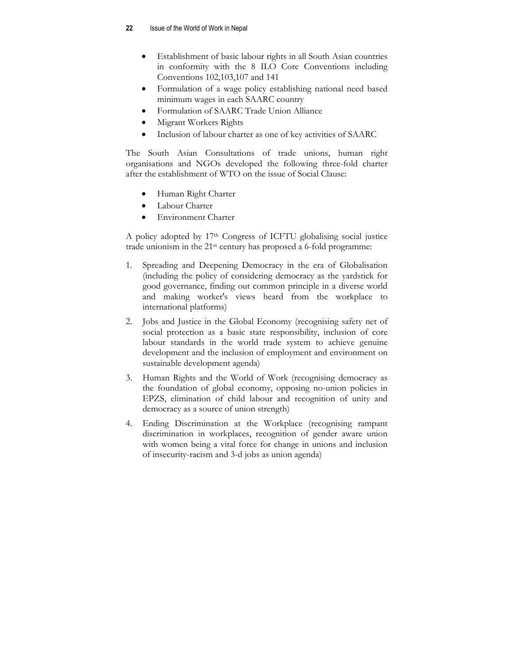- Establishment of basic labour rights in all South Asian countries in conformity with the 8 ILO Core Conventions including Conventions 102,103,107 and 141
- Formulation of a wage policy establishing national need based minimum wages in each SAARC country
- Formulation of SAARC Trade Union Alliance
- Migrant Workers Rights
- Inclusion of labour charter as one of key activities of SAARC

The South Asian Consultations of trade unions, human right organisations and NGOs developed the following three-fold charter after the establishment of WTO on the issue of Social Clause:

- Human Right Charter
- Labour Charter
- Environment Charter

A policy adopted by 17th Congress of ICFTU globalising social justice trade unionism in the 21st century has proposed a 6-fold programme:

- 1. Spreading and Deepening Democracy in the era of Globalisation (including the policy of considering democracy as the yardstick for good governance, finding out common principle in a diverse world and making worker's views heard from the workplace to international platforms)
- 2. Jobs and Justice in the Global Economy (recognising safety net of social protection as a basic state responsibility, inclusion of core labour standards in the world trade system to achieve genuine development and the inclusion of employment and environment on sustainable development agenda)
- 3. Human Rights and the World of Work (recognising democracy as the foundation of global economy, opposing no-union policies in EPZS, elimination of child labour and recognition of unity and democracy as a source of union strength)
- 4. Ending Discrimination at the Workplace (recognising rampant discrimination in workplaces, recognition of gender aware union with women being a vital force for change in unions and inclusion of insecurity-racism and 3-d jobs as union agenda)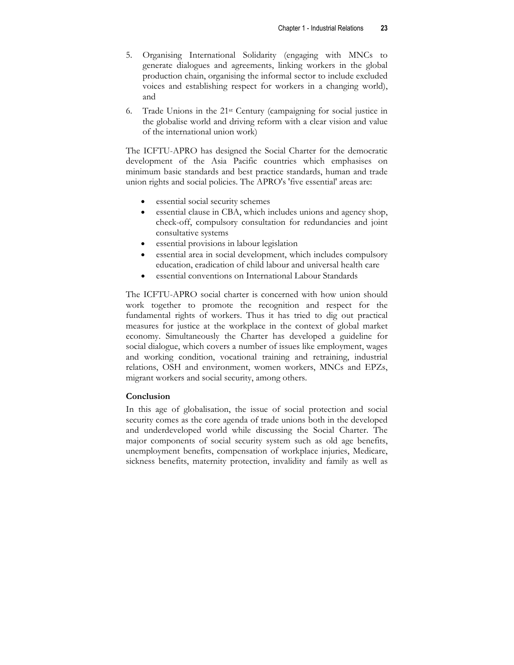- 5. Organising International Solidarity (engaging with MNCs to generate dialogues and agreements, linking workers in the global production chain, organising the informal sector to include excluded voices and establishing respect for workers in a changing world), and
- 6. Trade Unions in the 21st Century (campaigning for social justice in the globalise world and driving reform with a clear vision and value of the international union work)

The ICFTU-APRO has designed the Social Charter for the democratic development of the Asia Pacific countries which emphasises on minimum basic standards and best practice standards, human and trade union rights and social policies. The APRO's 'five essential' areas are:

- essential social security schemes
- essential clause in CBA, which includes unions and agency shop, check-off, compulsory consultation for redundancies and joint consultative systems
- essential provisions in labour legislation
- essential area in social development, which includes compulsory education, eradication of child labour and universal health care
- essential conventions on International Labour Standards

The ICFTU-APRO social charter is concerned with how union should work together to promote the recognition and respect for the fundamental rights of workers. Thus it has tried to dig out practical measures for justice at the workplace in the context of global market economy. Simultaneously the Charter has developed a guideline for social dialogue, which covers a number of issues like employment, wages and working condition, vocational training and retraining, industrial relations, OSH and environment, women workers, MNCs and EPZs, migrant workers and social security, among others.

# **Conclusion**

In this age of globalisation, the issue of social protection and social security comes as the core agenda of trade unions both in the developed and underdeveloped world while discussing the Social Charter. The major components of social security system such as old age benefits, unemployment benefits, compensation of workplace injuries, Medicare, sickness benefits, maternity protection, invalidity and family as well as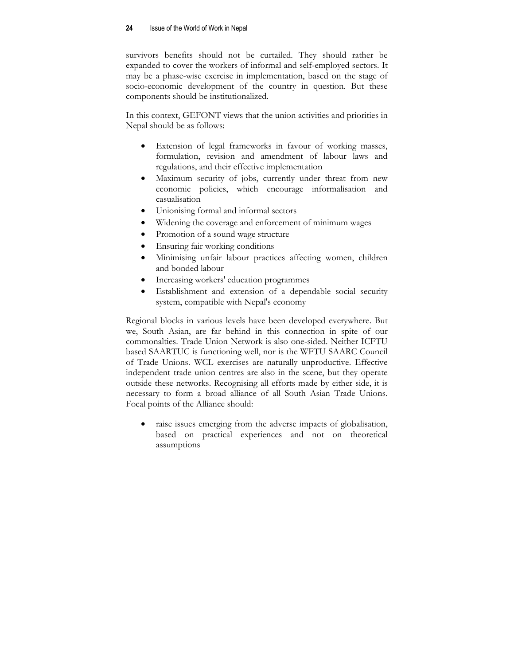survivors benefits should not be curtailed. They should rather be expanded to cover the workers of informal and self-employed sectors. It may be a phase-wise exercise in implementation, based on the stage of socio-economic development of the country in question. But these components should be institutionalized.

In this context, GEFONT views that the union activities and priorities in Nepal should be as follows:

- Extension of legal frameworks in favour of working masses, formulation, revision and amendment of labour laws and regulations, and their effective implementation
- Maximum security of jobs, currently under threat from new economic policies, which encourage informalisation and casualisation
- Unionising formal and informal sectors
- Widening the coverage and enforcement of minimum wages
- Promotion of a sound wage structure
- Ensuring fair working conditions
- Minimising unfair labour practices affecting women, children and bonded labour
- Increasing workers' education programmes
- Establishment and extension of a dependable social security system, compatible with Nepal's economy

Regional blocks in various levels have been developed everywhere. But we, South Asian, are far behind in this connection in spite of our commonalties. Trade Union Network is also one-sided. Neither ICFTU based SAARTUC is functioning well, nor is the WFTU SAARC Council of Trade Unions. WCL exercises are naturally unproductive. Effective independent trade union centres are also in the scene, but they operate outside these networks. Recognising all efforts made by either side, it is necessary to form a broad alliance of all South Asian Trade Unions. Focal points of the Alliance should:

raise issues emerging from the adverse impacts of globalisation, based on practical experiences and not on theoretical assumptions